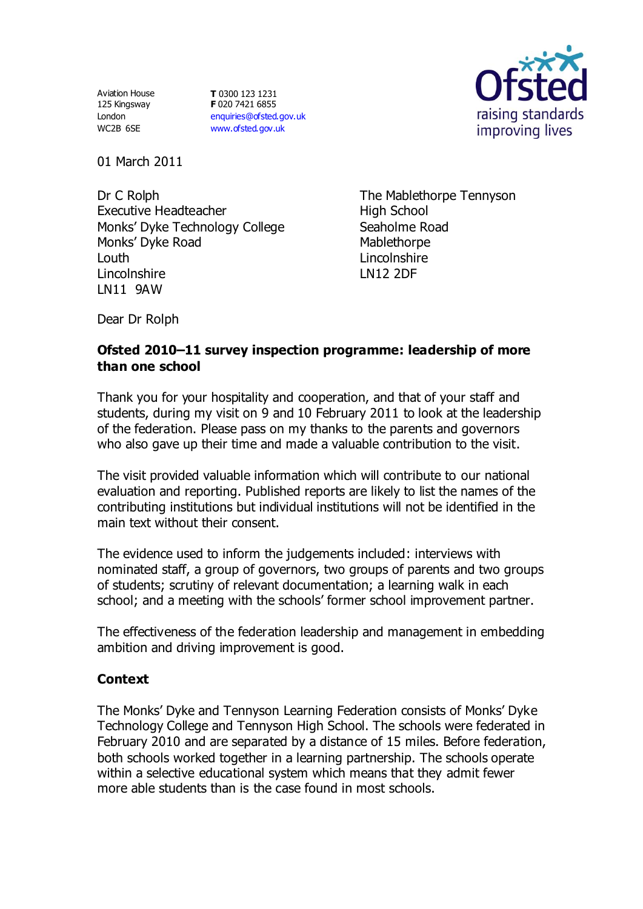Aviation House 125 Kingsway London WC2B 6SE

**T** 0300 123 1231 **F** 020 7421 6855 [enquiries@ofsted.gov.uk](mailto:enquiries@ofsted.gov.uk) [www.ofsted.gov.uk](http://www.ofsted.gov.uk/)



01 March 2011

Dr C Rolph Executive Headteacher Monks' Dyke Technology College Monks' Dyke Road Louth Lincolnshire LN11 9AW

The Mablethorpe Tennyson High School Seaholme Road Mablethorpe Lincolnshire LN12 2DF

Dear Dr Rolph

# **Ofsted 2010–11 survey inspection programme: leadership of more than one school**

Thank you for your hospitality and cooperation, and that of your staff and students, during my visit on 9 and 10 February 2011 to look at the leadership of the federation. Please pass on my thanks to the parents and governors who also gave up their time and made a valuable contribution to the visit.

The visit provided valuable information which will contribute to our national evaluation and reporting. Published reports are likely to list the names of the contributing institutions but individual institutions will not be identified in the main text without their consent.

The evidence used to inform the judgements included: interviews with nominated staff, a group of governors, two groups of parents and two groups of students; scrutiny of relevant documentation; a learning walk in each school; and a meeting with the schools' former school improvement partner.

The effectiveness of the federation leadership and management in embedding ambition and driving improvement is good.

# **Context**

The Monks' Dyke and Tennyson Learning Federation consists of Monks' Dyke Technology College and Tennyson High School. The schools were federated in February 2010 and are separated by a distance of 15 miles. Before federation, both schools worked together in a learning partnership. The schools operate within a selective educational system which means that they admit fewer more able students than is the case found in most schools.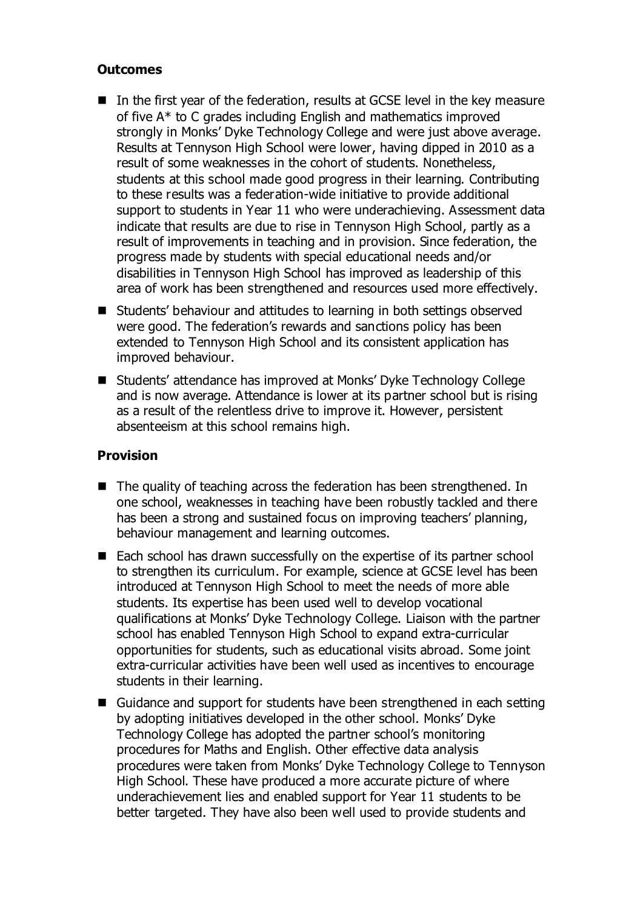# **Outcomes**

- In the first year of the federation, results at GCSE level in the key measure of five A\* to C grades including English and mathematics improved strongly in Monks' Dyke Technology College and were just above average. Results at Tennyson High School were lower, having dipped in 2010 as a result of some weaknesses in the cohort of students. Nonetheless, students at this school made good progress in their learning. Contributing to these results was a federation-wide initiative to provide additional support to students in Year 11 who were underachieving. Assessment data indicate that results are due to rise in Tennyson High School, partly as a result of improvements in teaching and in provision. Since federation, the progress made by students with special educational needs and/or disabilities in Tennyson High School has improved as leadership of this area of work has been strengthened and resources used more effectively.
- Students' behaviour and attitudes to learning in both settings observed were good. The federation's rewards and sanctions policy has been extended to Tennyson High School and its consistent application has improved behaviour.
- Students' attendance has improved at Monks' Dyke Technology College and is now average. Attendance is lower at its partner school but is rising as a result of the relentless drive to improve it. However, persistent absenteeism at this school remains high.

# **Provision**

- $\blacksquare$  The quality of teaching across the federation has been strengthened. In one school, weaknesses in teaching have been robustly tackled and there has been a strong and sustained focus on improving teachers' planning, behaviour management and learning outcomes.
- Each school has drawn successfully on the expertise of its partner school to strengthen its curriculum. For example, science at GCSE level has been introduced at Tennyson High School to meet the needs of more able students. Its expertise has been used well to develop vocational qualifications at Monks' Dyke Technology College. Liaison with the partner school has enabled Tennyson High School to expand extra-curricular opportunities for students, such as educational visits abroad. Some joint extra-curricular activities have been well used as incentives to encourage students in their learning.
- Guidance and support for students have been strengthened in each setting by adopting initiatives developed in the other school. Monks' Dyke Technology College has adopted the partner school's monitoring procedures for Maths and English. Other effective data analysis procedures were taken from Monks' Dyke Technology College to Tennyson High School. These have produced a more accurate picture of where underachievement lies and enabled support for Year 11 students to be better targeted. They have also been well used to provide students and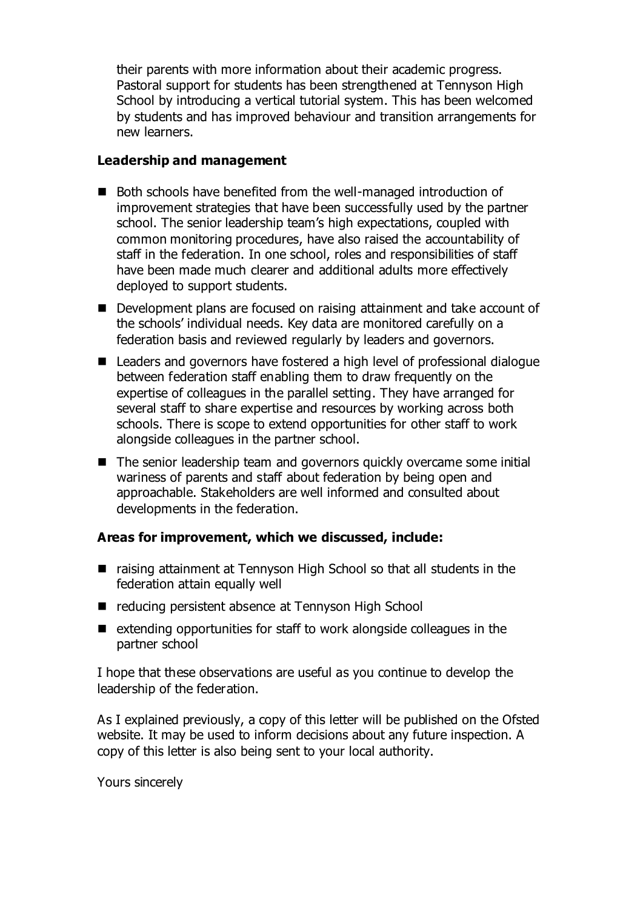their parents with more information about their academic progress. Pastoral support for students has been strengthened at Tennyson High School by introducing a vertical tutorial system. This has been welcomed by students and has improved behaviour and transition arrangements for new learners.

#### **Leadership and management**

- Both schools have benefited from the well-managed introduction of improvement strategies that have been successfully used by the partner school. The senior leadership team's high expectations, coupled with common monitoring procedures, have also raised the accountability of staff in the federation. In one school, roles and responsibilities of staff have been made much clearer and additional adults more effectively deployed to support students.
- Development plans are focused on raising attainment and take account of the schools' individual needs. Key data are monitored carefully on a federation basis and reviewed regularly by leaders and governors.
- Leaders and governors have fostered a high level of professional dialogue between federation staff enabling them to draw frequently on the expertise of colleagues in the parallel setting. They have arranged for several staff to share expertise and resources by working across both schools. There is scope to extend opportunities for other staff to work alongside colleagues in the partner school.
- The senior leadership team and governors quickly overcame some initial wariness of parents and staff about federation by being open and approachable. Stakeholders are well informed and consulted about developments in the federation.

# **Areas for improvement, which we discussed, include:**

- raising attainment at Tennyson High School so that all students in the federation attain equally well
- reducing persistent absence at Tennyson High School
- $\blacksquare$  extending opportunities for staff to work alongside colleagues in the partner school

I hope that these observations are useful as you continue to develop the leadership of the federation.

As I explained previously, a copy of this letter will be published on the Ofsted website. It may be used to inform decisions about any future inspection. A copy of this letter is also being sent to your local authority.

Yours sincerely